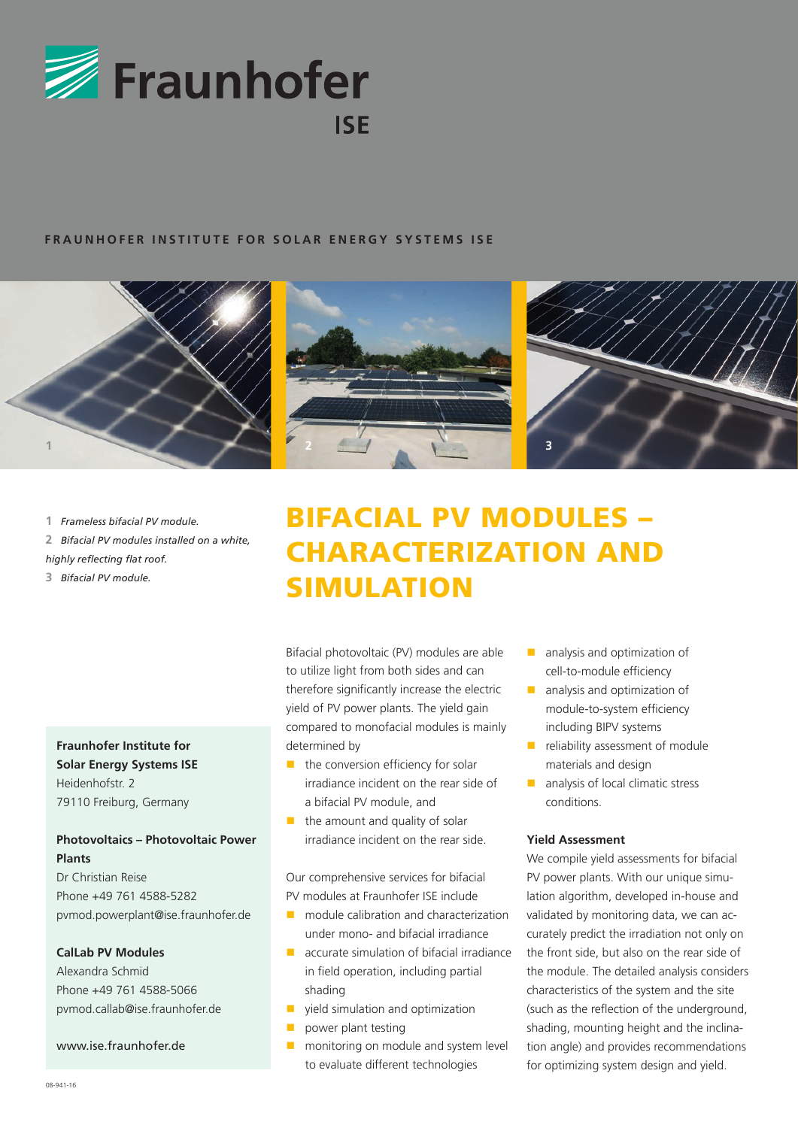

#### **FRAUNHOFER INSTITUTE FOR SOLAR ENERGY SYSTEMS ISE**



 *Frameless bifacial PV module. Bifacial PV modules installed on a white, highly reflecting flat roof. Bifacial PV module.*

## **Fraunhofer Institute for Solar Energy Systems ISE**

Heidenhofstr. 2 79110 Freiburg, Germany

### **Photovoltaics – Photovoltaic Power Plants**

Dr Christian Reise Phone +49 761 4588-5282 pvmod.powerplant@ise.fraunhofer.de

#### **CalLab PV Modules**

Alexandra Schmid Phone +49 761 4588-5066 pvmod.callab@ise.fraunhofer.de

#### www.ise.fraunhofer.de

# BIFACIAL PV MODULES – CHARACTERIZATION AND SIMULATION

Bifacial photovoltaic (PV) modules are able to utilize light from both sides and can therefore significantly increase the electric yield of PV power plants. The yield gain compared to monofacial modules is mainly determined by

- $\blacksquare$  the conversion efficiency for solar irradiance incident on the rear side of a bifacial PV module, and
- $\blacksquare$  the amount and quality of solar irradiance incident on the rear side.

Our comprehensive services for bifacial PV modules at Fraunhofer ISE include

- **n** module calibration and characterization under mono- and bifacial irradiance
- $\blacksquare$  accurate simulation of bifacial irradiance in field operation, including partial shading
- vield simulation and optimization
- power plant testing
- **n** monitoring on module and system level to evaluate different technologies
- **analysis and optimization of** cell-to-module efficiency
- **a** analysis and optimization of module-to-system efficiency including BIPV systems
- $\blacksquare$  reliability assessment of module materials and design
- analysis of local climatic stress conditions.

#### **Yield Assessment**

We compile yield assessments for bifacial PV power plants. With our unique simulation algorithm, developed in-house and validated by monitoring data, we can accurately predict the irradiation not only on the front side, but also on the rear side of the module. The detailed analysis considers characteristics of the system and the site (such as the reflection of the underground, shading, mounting height and the inclination angle) and provides recommendations for optimizing system design and yield.